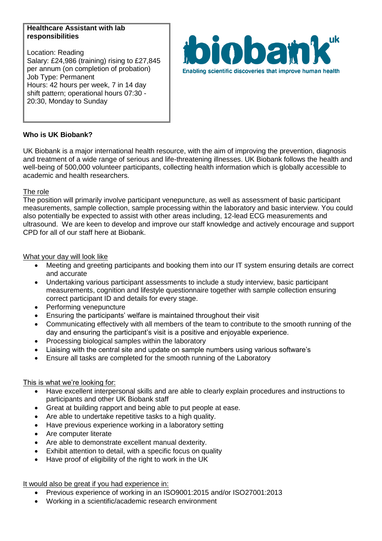#### **Healthcare Assistant with lab responsibilities**

Location: Reading Salary: £24,986 (training) rising to £27,845 per annum (on completion of probation) Job Type: Permanent Hours: 42 hours per week, 7 in 14 day shift pattern; operational hours 07:30 - 20:30, Monday to Sunday



# **Who is UK Biobank?**

UK Biobank is a major international health resource, with the aim of improving the prevention, diagnosis and treatment of a wide range of serious and life-threatening illnesses. UK Biobank follows the health and well-being of 500,000 volunteer participants, collecting health information which is globally accessible to academic and health researchers.

### The role

The position will primarily involve participant venepuncture, as well as assessment of basic participant measurements, sample collection, sample processing within the laboratory and basic interview. You could also potentially be expected to assist with other areas including, 12-lead ECG measurements and ultrasound. We are keen to develop and improve our staff knowledge and actively encourage and support CPD for all of our staff here at Biobank.

### What your day will look like

- Meeting and greeting participants and booking them into our IT system ensuring details are correct and accurate
- Undertaking various participant assessments to include a study interview, basic participant measurements, cognition and lifestyle questionnaire together with sample collection ensuring correct participant ID and details for every stage.
- Performing venepuncture
- Ensuring the participants' welfare is maintained throughout their visit
- Communicating effectively with all members of the team to contribute to the smooth running of the day and ensuring the participant's visit is a positive and enjoyable experience.
- Processing biological samples within the laboratory
- Liaising with the central site and update on sample numbers using various software's
- Ensure all tasks are completed for the smooth running of the Laboratory

### This is what we're looking for:

- Have excellent interpersonal skills and are able to clearly explain procedures and instructions to participants and other UK Biobank staff
- Great at building rapport and being able to put people at ease.
- Are able to undertake repetitive tasks to a high quality.
- Have previous experience working in a laboratory setting
- Are computer literate
- Are able to demonstrate excellent manual dexterity.
- Exhibit attention to detail, with a specific focus on quality
- Have proof of eligibility of the right to work in the UK

It would also be great if you had experience in:

- Previous experience of working in an ISO9001:2015 and/or ISO27001:2013
- Working in a scientific/academic research environment